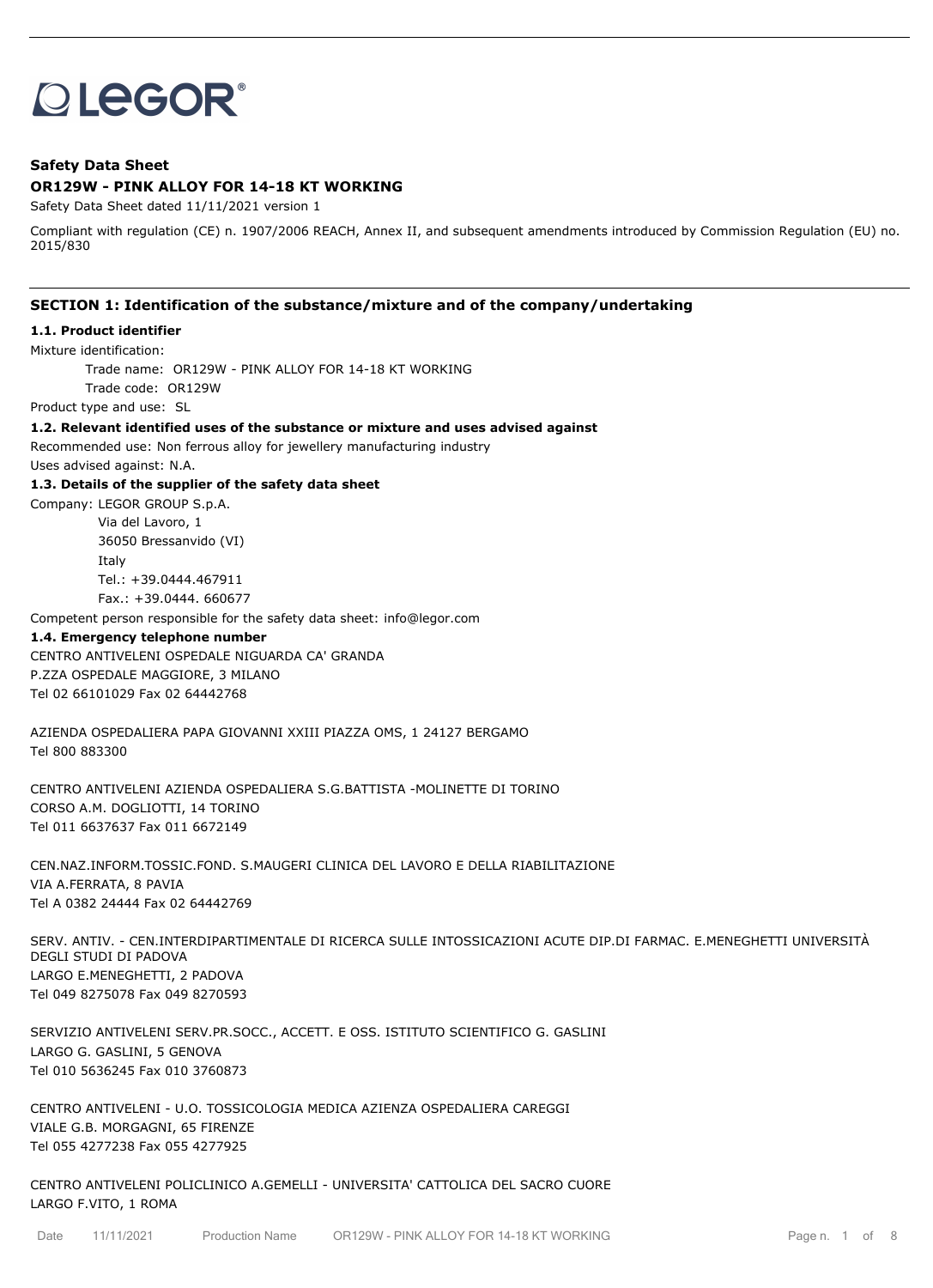# **OLEGOR®**

## **Safety Data Sheet OR129W - PINK ALLOY FOR 14-18 KT WORKING**

Safety Data Sheet dated 11/11/2021 version 1

Compliant with regulation (CE) n. 1907/2006 REACH, Annex II, and subsequent amendments introduced by Commission Regulation (EU) no. 2015/830

## **SECTION 1: Identification of the substance/mixture and of the company/undertaking**

#### **1.1. Product identifier**

Mixture identification:

Trade name: OR129W - PINK ALLOY FOR 14-18 KT WORKING

Trade code: OR129W

Product type and use: SL

**1.2. Relevant identified uses of the substance or mixture and uses advised against**

Recommended use: Non ferrous alloy for jewellery manufacturing industry

Uses advised against: N.A.

#### **1.3. Details of the supplier of the safety data sheet**

Company: LEGOR GROUP S.p.A. Via del Lavoro, 1 36050 Bressanvido (VI) Italy

Tel.: +39.0444.467911

Fax.: +39.0444. 660677

Competent person responsible for the safety data sheet: info@legor.com

## **1.4. Emergency telephone number**

CENTRO ANTIVELENI OSPEDALE NIGUARDA CA' GRANDA P.ZZA OSPEDALE MAGGIORE, 3 MILANO Tel 02 66101029 Fax 02 64442768

AZIENDA OSPEDALIERA PAPA GIOVANNI XXIII PIAZZA OMS, 1 24127 BERGAMO Tel 800 883300

CENTRO ANTIVELENI AZIENDA OSPEDALIERA S.G.BATTISTA -MOLINETTE DI TORINO CORSO A.M. DOGLIOTTI, 14 TORINO Tel 011 6637637 Fax 011 6672149

CEN.NAZ.INFORM.TOSSIC.FOND. S.MAUGERI CLINICA DEL LAVORO E DELLA RIABILITAZIONE VIA A.FERRATA, 8 PAVIA Tel A 0382 24444 Fax 02 64442769

SERV. ANTIV. - CEN.INTERDIPARTIMENTALE DI RICERCA SULLE INTOSSICAZIONI ACUTE DIP.DI FARMAC. E.MENEGHETTI UNIVERSITÀ DEGLI STUDI DI PADOVA LARGO E.MENEGHETTI, 2 PADOVA Tel 049 8275078 Fax 049 8270593

SERVIZIO ANTIVELENI SERV.PR.SOCC., ACCETT. E OSS. ISTITUTO SCIENTIFICO G. GASLINI LARGO G. GASLINI, 5 GENOVA Tel 010 5636245 Fax 010 3760873

CENTRO ANTIVELENI - U.O. TOSSICOLOGIA MEDICA AZIENZA OSPEDALIERA CAREGGI VIALE G.B. MORGAGNI, 65 FIRENZE Tel 055 4277238 Fax 055 4277925

CENTRO ANTIVELENI POLICLINICO A.GEMELLI - UNIVERSITA' CATTOLICA DEL SACRO CUORE LARGO F.VITO, 1 ROMA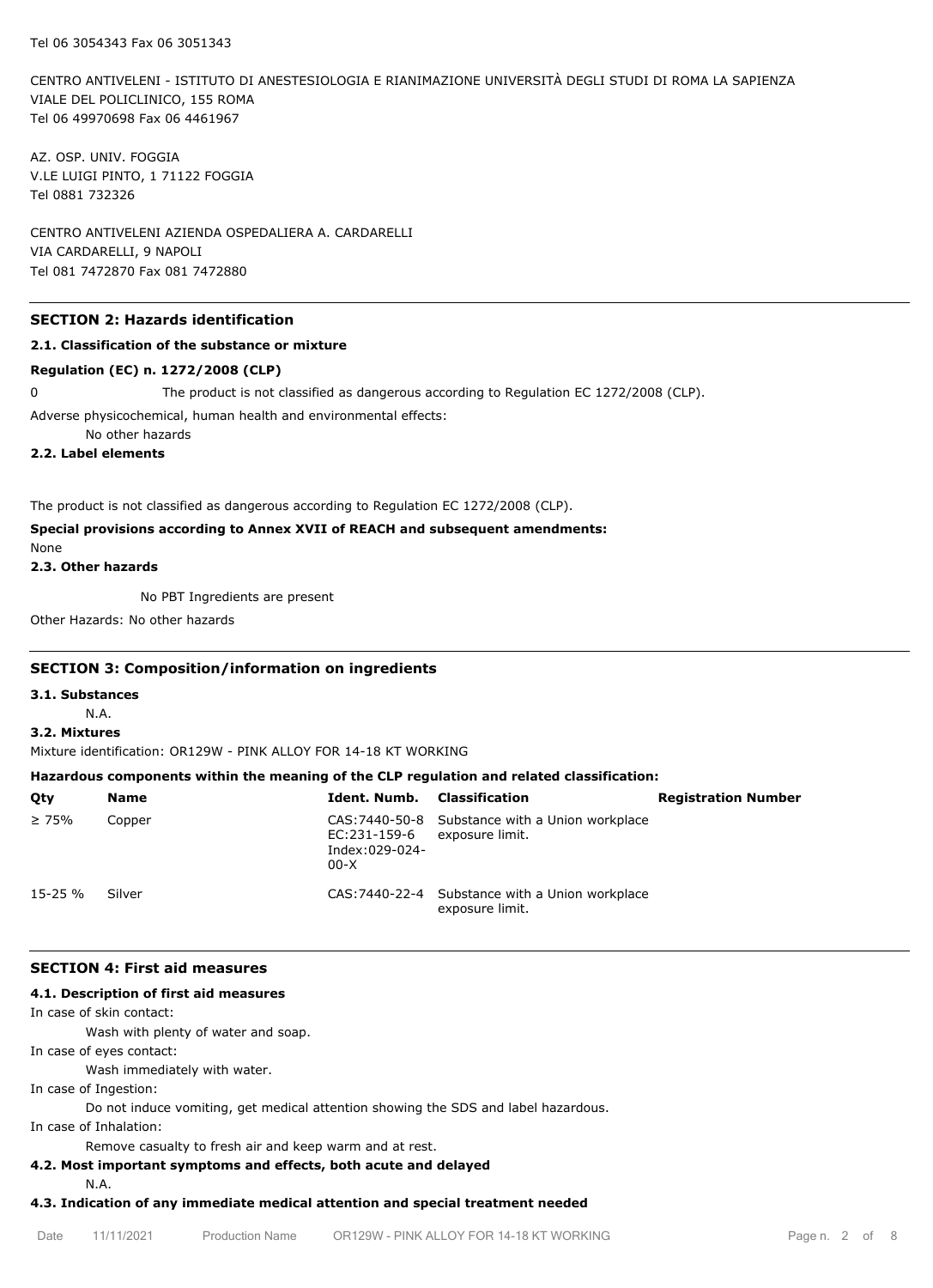CENTRO ANTIVELENI - ISTITUTO DI ANESTESIOLOGIA E RIANIMAZIONE UNIVERSITÀ DEGLI STUDI DI ROMA LA SAPIENZA VIALE DEL POLICLINICO, 155 ROMA Tel 06 49970698 Fax 06 4461967

AZ. OSP. UNIV. FOGGIA V.LE LUIGI PINTO, 1 71122 FOGGIA Tel 0881 732326

CENTRO ANTIVELENI AZIENDA OSPEDALIERA A. CARDARELLI VIA CARDARELLI, 9 NAPOLI Tel 081 7472870 Fax 081 7472880

# **SECTION 2: Hazards identification**

## **2.1. Classification of the substance or mixture**

#### **Regulation (EC) n. 1272/2008 (CLP)**

0 The product is not classified as dangerous according to Regulation EC 1272/2008 (CLP).

Adverse physicochemical, human health and environmental effects:

No other hazards

**2.2. Label elements**

The product is not classified as dangerous according to Regulation EC 1272/2008 (CLP).

# **Special provisions according to Annex XVII of REACH and subsequent amendments:**

None

**2.3. Other hazards**

No PBT Ingredients are present

Other Hazards: No other hazards

## **SECTION 3: Composition/information on ingredients**

**3.1. Substances**

N.A.

#### **3.2. Mixtures**

Mixture identification: OR129W - PINK ALLOY FOR 14-18 KT WORKING

# **Hazardous components within the meaning of the CLP regulation and related classification:**

| Qty          | <b>Name</b> | <b>Ident. Numb.</b> Classification       |                                                                    | <b>Registration Number</b> |
|--------------|-------------|------------------------------------------|--------------------------------------------------------------------|----------------------------|
| $\geq 75\%$  | Copper      | EC:231-159-6<br>Index:029-024-<br>$00-X$ | CAS: 7440-50-8 Substance with a Union workplace<br>exposure limit. |                            |
| $15 - 25 \%$ | Silver      |                                          | CAS: 7440-22-4 Substance with a Union workplace<br>exposure limit. |                            |

## **SECTION 4: First aid measures**

#### **4.1. Description of first aid measures**

In case of skin contact:

Wash with plenty of water and soap.

In case of eyes contact:

Wash immediately with water.

In case of Ingestion:

Do not induce vomiting, get medical attention showing the SDS and label hazardous.

In case of Inhalation:

Remove casualty to fresh air and keep warm and at rest.

## **4.2. Most important symptoms and effects, both acute and delayed**

N.A.

# **4.3. Indication of any immediate medical attention and special treatment needed**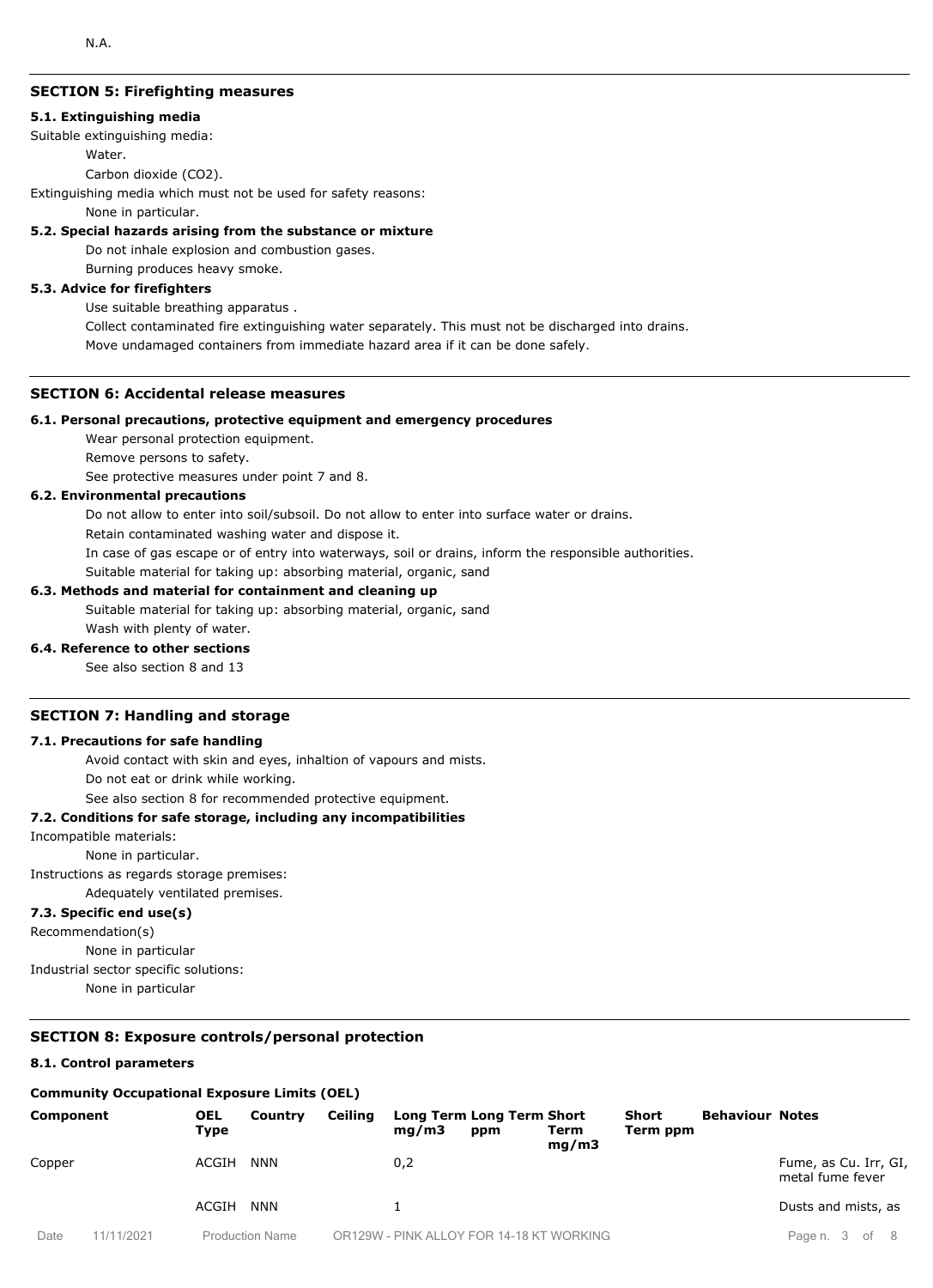# **SECTION 5: Firefighting measures**

#### **5.1. Extinguishing media**

Suitable extinguishing media:

Water.

Carbon dioxide (CO2).

Extinguishing media which must not be used for safety reasons:

None in particular.

#### **5.2. Special hazards arising from the substance or mixture**

Do not inhale explosion and combustion gases.

Burning produces heavy smoke.

#### **5.3. Advice for firefighters**

Use suitable breathing apparatus .

Collect contaminated fire extinguishing water separately. This must not be discharged into drains. Move undamaged containers from immediate hazard area if it can be done safely.

# **SECTION 6: Accidental release measures**

#### **6.1. Personal precautions, protective equipment and emergency procedures**

Wear personal protection equipment.

Remove persons to safety.

See protective measures under point 7 and 8.

## **6.2. Environmental precautions**

Do not allow to enter into soil/subsoil. Do not allow to enter into surface water or drains.

Retain contaminated washing water and dispose it.

In case of gas escape or of entry into waterways, soil or drains, inform the responsible authorities.

Suitable material for taking up: absorbing material, organic, sand

## **6.3. Methods and material for containment and cleaning up**

Suitable material for taking up: absorbing material, organic, sand Wash with plenty of water.

## **6.4. Reference to other sections**

See also section 8 and 13

## **SECTION 7: Handling and storage**

#### **7.1. Precautions for safe handling**

Avoid contact with skin and eyes, inhaltion of vapours and mists.

Do not eat or drink while working.

See also section 8 for recommended protective equipment.

## **7.2. Conditions for safe storage, including any incompatibilities**

Incompatible materials:

None in particular.

Instructions as regards storage premises:

Adequately ventilated premises.

# **7.3. Specific end use(s)**

Recommendation(s)

None in particular

Industrial sector specific solutions:

None in particular

#### **SECTION 8: Exposure controls/personal protection**

#### **8.1. Control parameters**

## **Community Occupational Exposure Limits (OEL)**

| <b>Component</b> |           | <b>OEL</b><br>Type | Country                | Ceiling | mq/m3 | Long Term Long Term Short<br>ppm         | Term<br>mq/m3 | <b>Short</b><br>Term ppm | <b>Behaviour Notes</b> |                                           |
|------------------|-----------|--------------------|------------------------|---------|-------|------------------------------------------|---------------|--------------------------|------------------------|-------------------------------------------|
| Copper           |           | ACGIH              | NNN                    |         | 0,2   |                                          |               |                          |                        | Fume, as Cu. Irr, GI,<br>metal fume fever |
|                  |           | ACGIH              | <b>NNN</b>             |         |       |                                          |               |                          |                        | Dusts and mists, as                       |
| Date             | 1/11/2021 |                    | <b>Production Name</b> |         |       | OR129W - PINK ALLOY FOR 14-18 KT WORKING |               |                          |                        | Page n. 3 of<br>- 8                       |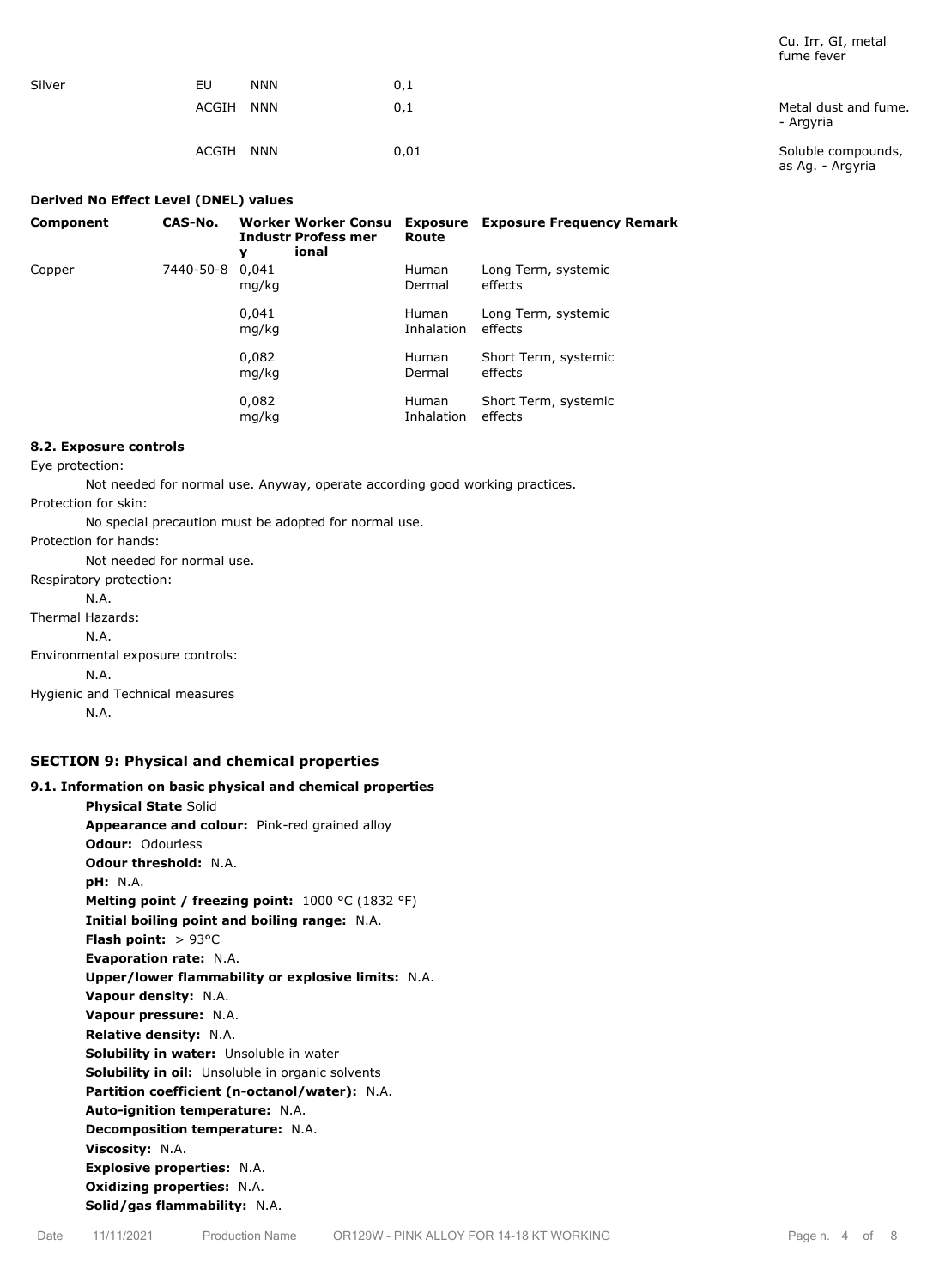|        |                     |      | Turrie Tever                           |
|--------|---------------------|------|----------------------------------------|
| Silver | EU<br><b>NNN</b>    | 0,1  |                                        |
|        | ACGIH<br><b>NNN</b> | 0,1  | Metal dust and fume.<br>- Argyria      |
|        | ACGIH<br><b>NNN</b> | 0,01 | Soluble compounds,<br>as Ag. - Argyria |

#### **Derived No Effect Level (DNEL) values**

| Component | CAS-No.   | Worker Worker Consu<br><b>Industr Profess mer</b><br>ional<br>у | Route                      | <b>Exposure</b> Exposure Frequency Remark |
|-----------|-----------|-----------------------------------------------------------------|----------------------------|-------------------------------------------|
| Copper    | 7440-50-8 | 0.041<br>mg/kg                                                  | <b>Human</b><br>Dermal     | Long Term, systemic<br>effects            |
|           |           | 0,041<br>mg/kg                                                  | <b>Human</b><br>Inhalation | Long Term, systemic<br>effects            |
|           |           | 0,082<br>mg/kg                                                  | <b>Human</b><br>Dermal     | Short Term, systemic<br>effects           |
|           |           | 0,082<br>mg/kg                                                  | <b>Human</b><br>Inhalation | Short Term, systemic<br>effects           |

## **8.2. Exposure controls**

Eye protection:

Not needed for normal use. Anyway, operate according good working practices.

Protection for skin:

No special precaution must be adopted for normal use.

Protection for hands:

Not needed for normal use. Respiratory protection: N.A. Thermal Hazards: N.A. Environmental exposure controls: N.A.

Hygienic and Technical measures N.A.

## **SECTION 9: Physical and chemical properties**

# **9.1. Information on basic physical and chemical properties Physical State** Solid **Appearance and colour:** Pink-red grained alloy **Odour:** Odourless **Odour threshold:** N.A. **pH:** N.A. **Melting point / freezing point:** 1000 °C (1832 °F) **Initial boiling point and boiling range:** N.A. **Flash point:** > 93°C **Evaporation rate:** N.A. **Upper/lower flammability or explosive limits:** N.A. **Vapour density:** N.A. **Vapour pressure:** N.A. **Relative density:** N.A. **Solubility in water:** Unsoluble in water **Solubility in oil:** Unsoluble in organic solvents **Partition coefficient (n-octanol/water):** N.A. **Auto-ignition temperature:** N.A. **Decomposition temperature:** N.A. **Viscosity:** N.A. **Explosive properties:** N.A. **Oxidizing properties:** N.A. **Solid/gas flammability:** N.A.

Cu. Irr, GI, metal fume fever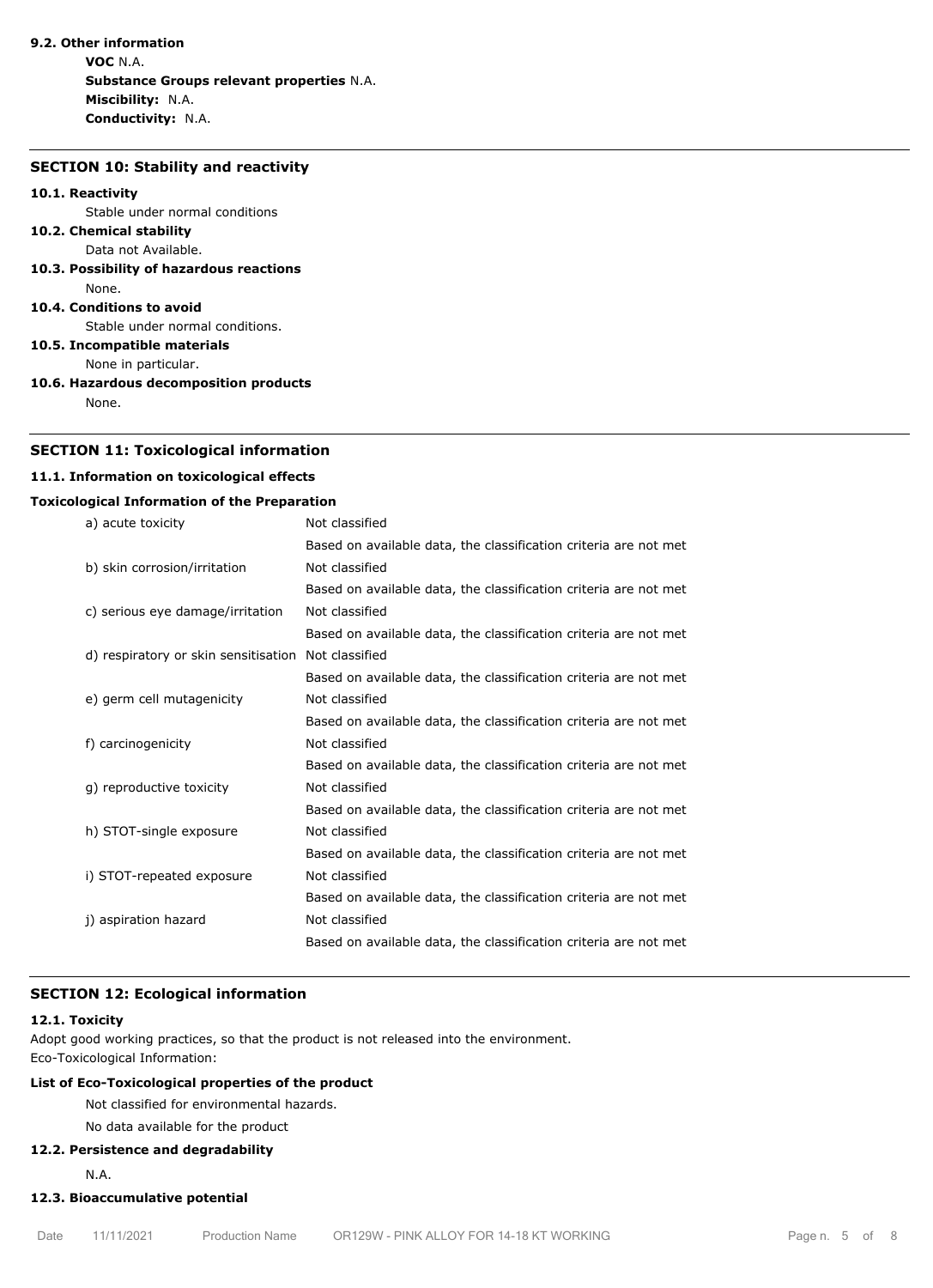# **9.2. Other information**

**VOC** N.A. **Substance Groups relevant properties** N.A. **Miscibility:** N.A. **Conductivity:** N.A.

#### **SECTION 10: Stability and reactivity**

#### **10.1. Reactivity**

Stable under normal conditions

#### **10.2. Chemical stability** Data not Available.

**10.3. Possibility of hazardous reactions** None.

#### **10.4. Conditions to avoid**

Stable under normal conditions.

**10.5. Incompatible materials**

None in particular.

**10.6. Hazardous decomposition products**

None.

## **SECTION 11: Toxicological information**

## **11.1. Information on toxicological effects**

## **Toxicological Information of the Preparation**

| a) acute toxicity                    | Not classified                                                   |
|--------------------------------------|------------------------------------------------------------------|
|                                      | Based on available data, the classification criteria are not met |
| b) skin corrosion/irritation         | Not classified                                                   |
|                                      | Based on available data, the classification criteria are not met |
| c) serious eye damage/irritation     | Not classified                                                   |
|                                      | Based on available data, the classification criteria are not met |
| d) respiratory or skin sensitisation | Not classified                                                   |
|                                      | Based on available data, the classification criteria are not met |
| e) germ cell mutagenicity            | Not classified                                                   |
|                                      | Based on available data, the classification criteria are not met |
| f) carcinogenicity                   | Not classified                                                   |
|                                      | Based on available data, the classification criteria are not met |
| g) reproductive toxicity             | Not classified                                                   |
|                                      | Based on available data, the classification criteria are not met |
| h) STOT-single exposure              | Not classified                                                   |
|                                      | Based on available data, the classification criteria are not met |
| i) STOT-repeated exposure            | Not classified                                                   |
|                                      | Based on available data, the classification criteria are not met |
| j) aspiration hazard                 | Not classified                                                   |
|                                      | Based on available data, the classification criteria are not met |

# **SECTION 12: Ecological information**

#### **12.1. Toxicity**

Adopt good working practices, so that the product is not released into the environment. Eco-Toxicological Information:

## **List of Eco-Toxicological properties of the product**

Not classified for environmental hazards.

#### No data available for the product

#### **12.2. Persistence and degradability**

N.A.

# **12.3. Bioaccumulative potential**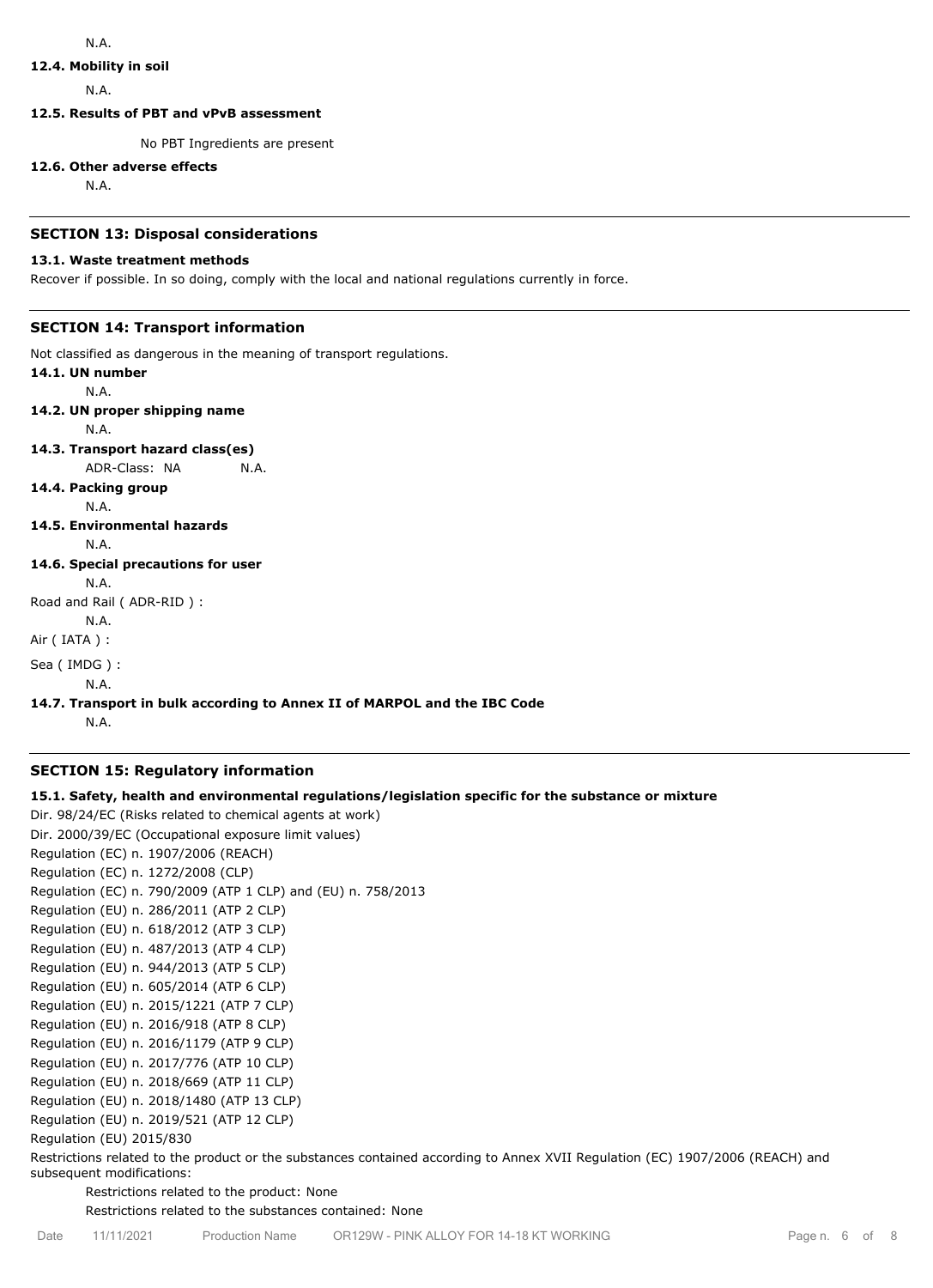## **12.4. Mobility in soil**

N.A.

**12.5. Results of PBT and vPvB assessment**

No PBT Ingredients are present

#### **12.6. Other adverse effects**

N.A.

## **SECTION 13: Disposal considerations**

## **13.1. Waste treatment methods**

Recover if possible. In so doing, comply with the local and national regulations currently in force.

# **SECTION 14: Transport information**

Not classified as dangerous in the meaning of transport regulations.

**14.1. UN number** N.A. **14.2. UN proper shipping name** N.A. **14.3. Transport hazard class(es)** ADR-Class: NA N.A. **14.4. Packing group** N.A. **14.5. Environmental hazards** N.A. **14.6. Special precautions for user** N.A. Road and Rail ( ADR-RID ) : N.A. Air ( IATA ) : Sea ( IMDG ) : N.A.

# **14.7. Transport in bulk according to Annex II of MARPOL and the IBC Code**

N.A.

## **SECTION 15: Regulatory information**

## **15.1. Safety, health and environmental regulations/legislation specific for the substance or mixture**

Dir. 98/24/EC (Risks related to chemical agents at work) Dir. 2000/39/EC (Occupational exposure limit values) Regulation (EC) n. 1907/2006 (REACH) Regulation (EC) n. 1272/2008 (CLP) Regulation (EC) n. 790/2009 (ATP 1 CLP) and (EU) n. 758/2013 Regulation (EU) n. 286/2011 (ATP 2 CLP) Regulation (EU) n. 618/2012 (ATP 3 CLP) Regulation (EU) n. 487/2013 (ATP 4 CLP) Regulation (EU) n. 944/2013 (ATP 5 CLP) Regulation (EU) n. 605/2014 (ATP 6 CLP) Regulation (EU) n. 2015/1221 (ATP 7 CLP) Regulation (EU) n. 2016/918 (ATP 8 CLP) Regulation (EU) n. 2016/1179 (ATP 9 CLP) Regulation (EU) n. 2017/776 (ATP 10 CLP) Regulation (EU) n. 2018/669 (ATP 11 CLP) Regulation (EU) n. 2018/1480 (ATP 13 CLP) Regulation (EU) n. 2019/521 (ATP 12 CLP) Regulation (EU) 2015/830

Restrictions related to the product or the substances contained according to Annex XVII Regulation (EC) 1907/2006 (REACH) and subsequent modifications:

Restrictions related to the product: None

Restrictions related to the substances contained: None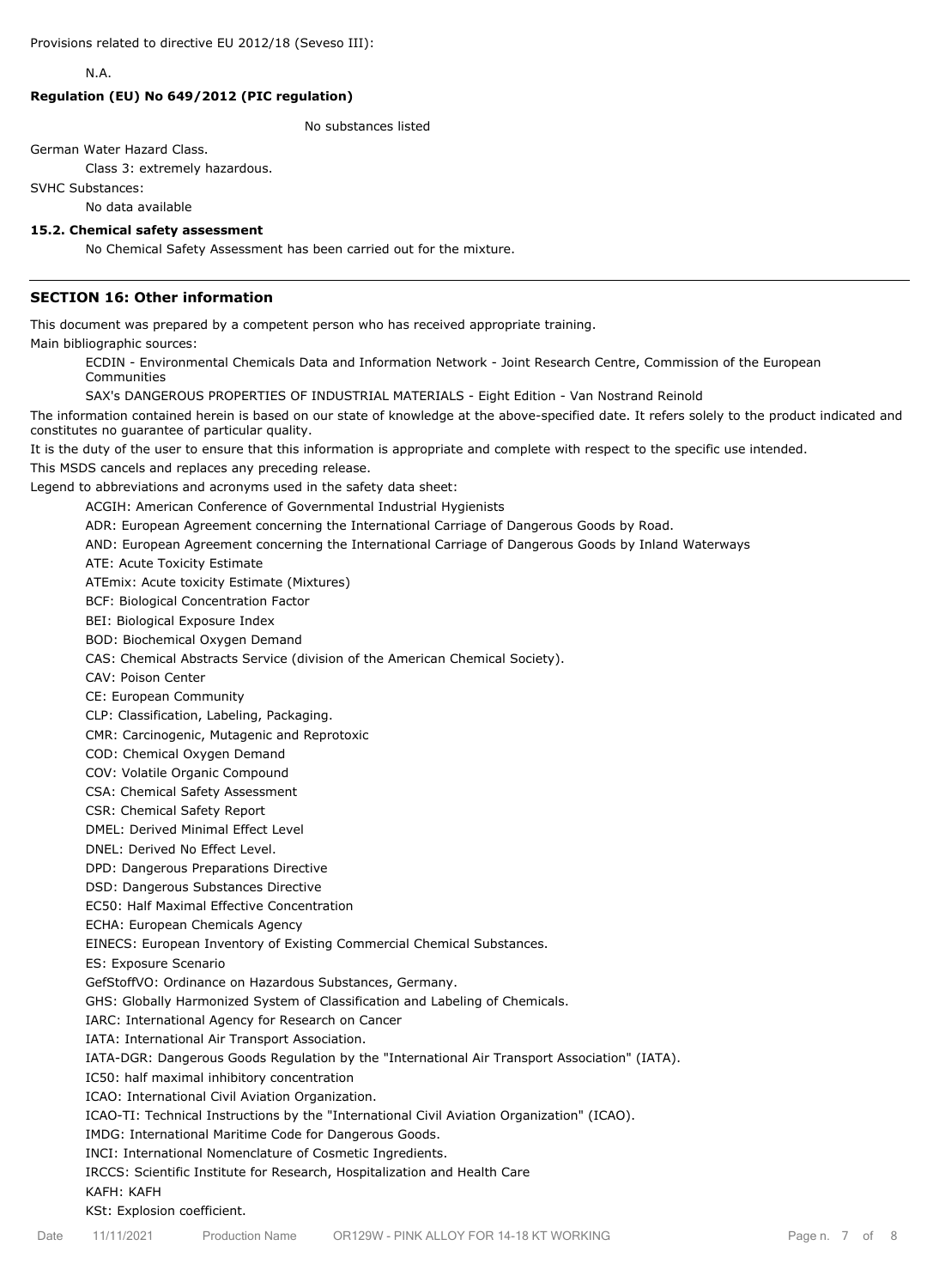N.A.

## **Regulation (EU) No 649/2012 (PIC regulation)**

No substances listed

German Water Hazard Class.

Class 3: extremely hazardous.

SVHC Substances:

No data available

#### **15.2. Chemical safety assessment**

No Chemical Safety Assessment has been carried out for the mixture.

## **SECTION 16: Other information**

This document was prepared by a competent person who has received appropriate training.

Main bibliographic sources:

ECDIN - Environmental Chemicals Data and Information Network - Joint Research Centre, Commission of the European Communities

SAX's DANGEROUS PROPERTIES OF INDUSTRIAL MATERIALS - Eight Edition - Van Nostrand Reinold

The information contained herein is based on our state of knowledge at the above-specified date. It refers solely to the product indicated and constitutes no guarantee of particular quality.

It is the duty of the user to ensure that this information is appropriate and complete with respect to the specific use intended.

This MSDS cancels and replaces any preceding release.

Legend to abbreviations and acronyms used in the safety data sheet:

ACGIH: American Conference of Governmental Industrial Hygienists

ADR: European Agreement concerning the International Carriage of Dangerous Goods by Road.

AND: European Agreement concerning the International Carriage of Dangerous Goods by Inland Waterways

ATE: Acute Toxicity Estimate

ATEmix: Acute toxicity Estimate (Mixtures)

BCF: Biological Concentration Factor

BEI: Biological Exposure Index

BOD: Biochemical Oxygen Demand

CAS: Chemical Abstracts Service (division of the American Chemical Society).

CAV: Poison Center

CE: European Community

CLP: Classification, Labeling, Packaging.

CMR: Carcinogenic, Mutagenic and Reprotoxic

COD: Chemical Oxygen Demand

COV: Volatile Organic Compound

CSA: Chemical Safety Assessment

CSR: Chemical Safety Report

DMEL: Derived Minimal Effect Level

DNEL: Derived No Effect Level.

DPD: Dangerous Preparations Directive

DSD: Dangerous Substances Directive

EC50: Half Maximal Effective Concentration

ECHA: European Chemicals Agency

EINECS: European Inventory of Existing Commercial Chemical Substances.

ES: Exposure Scenario

GefStoffVO: Ordinance on Hazardous Substances, Germany.

GHS: Globally Harmonized System of Classification and Labeling of Chemicals.

IARC: International Agency for Research on Cancer

IATA: International Air Transport Association.

IATA-DGR: Dangerous Goods Regulation by the "International Air Transport Association" (IATA).

IC50: half maximal inhibitory concentration

ICAO: International Civil Aviation Organization.

ICAO-TI: Technical Instructions by the "International Civil Aviation Organization" (ICAO).

IMDG: International Maritime Code for Dangerous Goods.

INCI: International Nomenclature of Cosmetic Ingredients.

IRCCS: Scientific Institute for Research, Hospitalization and Health Care

#### KAFH: KAFH

KSt: Explosion coefficient.